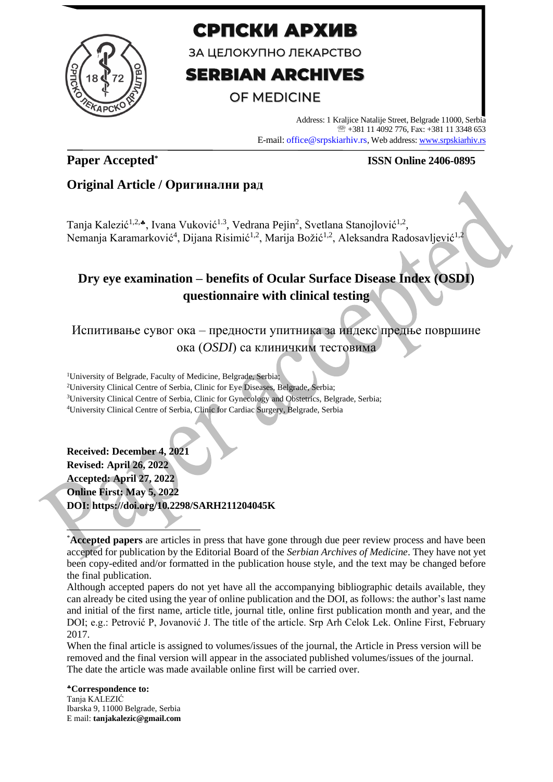

# СРПСКИ АРХИВ

ЗА ЦЕЛОКУПНО ЛЕКАРСТВО

# **SERBIAN ARCHIVES**

# OF MEDICINE

Address: 1 Kraljice Natalije Street, Belgrade 11000, Serbia +381 11 4092 776, Fax: +381 11 3348 653 E-mail: office@srpskiarhiv.rs, Web address[: www.srpskiarhiv.rs](http://www.srpskiarhiv.rs/)

# **Paper Accepted\***

## **ISSN Online 2406-0895**

# **Original Article / Оригинални рад**

Tanja Kalezić<sup>1,2,</sup>\*, Ivana Vuković<sup>1.3</sup>, Vedrana Pejin<sup>2</sup>, Svetlana Stanojlović<sup>1,2</sup>, Nemanja Karamarković<sup>4</sup>, Dijana Risimić<sup>1,2</sup>, Marija Božić<sup>1,2</sup>, Aleksandra Radosavljević<sup>1,2</sup>

# **Dry eye examination – benefits of Ocular Surface Disease Index (OSDI) questionnaire with clinical testing**

Испитивање сувог ока – предности упитника за индекс предње површине ока (*OSDI*) са клиничким тестовима

<sup>1</sup>University of Belgrade, Faculty of Medicine, Belgrade, Serbia; University Clinical Centre of Serbia, Clinic for Eye Diseases, Belgrade, Serbia; University Clinical Centre of Serbia, Clinic for Gynecology and Obstetrics, Belgrade, Serbia; University Clinical Centre of Serbia, Clinic for Cardiac Surgery, Belgrade, Serbia

**Received: December 4, 2021 Revised: April 26, 2022 Accepted: April 27, 2022 Online First: May 5, 2022 DOI: https://doi.org/10.2298/SARH211204045K**

Although accepted papers do not yet have all the accompanying bibliographic details available, they can already be cited using the year of online publication and the DOI, as follows: the author's last name and initial of the first name, article title, journal title, online first publication month and year, and the DOI; e.g.: Petrović P, Jovanović J. The title of the article. Srp Arh Celok Lek. Online First, February 2017.

When the final article is assigned to volumes/issues of the journal, the Article in Press version will be removed and the final version will appear in the associated published volumes/issues of the journal. The date the article was made available online first will be carried over.

**Correspondence to:** Tanja KALEZIĆ Ibarska 9, 11000 Belgrade, Serbia E mail: **tanjakalezic@gmail.com**

<sup>\*</sup>**Accepted papers** are articles in press that have gone through due peer review process and have been accepted for publication by the Editorial Board of the *Serbian Archives of Medicine*. They have not yet been copy-edited and/or formatted in the publication house style, and the text may be changed before the final publication.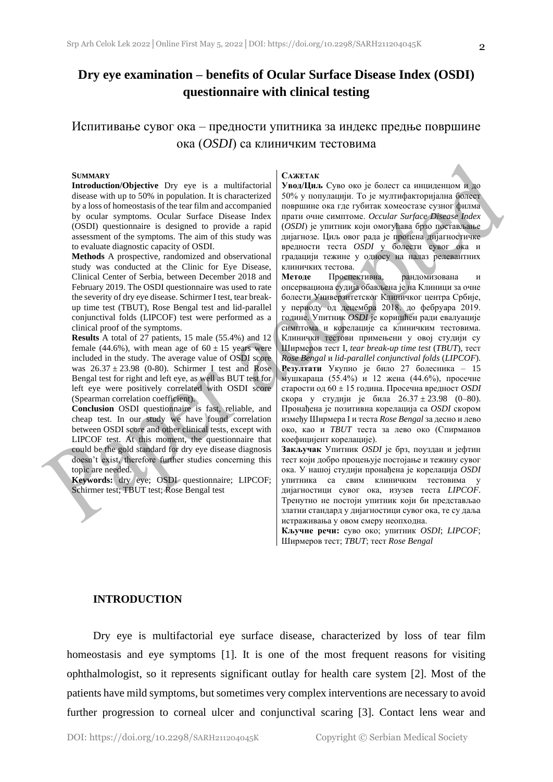# **Dry eye examination – benefits of Ocular Surface Disease Index (OSDI) questionnaire with clinical testing**

## Испитивање сувог ока – предности упитника за индекс предње површине ока (*OSDI*) са клиничким тестовима

#### **SUMMARY**

**Introduction/Objective** Dry eye is a multifactorial disease with up to 50% in population. It is characterized by a loss of homeostasis of the tear film and accompanied by ocular symptoms. Ocular Surface Disease Index (OSDI) questionnaire is designed to provide a rapid assessment of the symptoms. The aim of this study was to evaluate diagnostic capacity of OSDI.

**Methods** A prospective, randomized and observational study was conducted at the Clinic for Eye Disease, Clinical Center of Serbia, between December 2018 and February 2019. The OSDI questionnaire was used to rate the severity of dry eye disease. Schirmer I test, tear breakup time test (TBUT), Rose Bengal test and lid-parallel conjunctival folds (LIPCOF) test were performed as a clinical proof of the symptoms.

**Results** A total of 27 patients, 15 male (55.4%) and 12 female (44.6%), with mean age of  $60 \pm 15$  years were included in the study. The average value of OSDI score was  $26.37 \pm 23.98$  (0-80). Schirmer I test and Rose Bengal test for right and left eye, as well as BUT test for left eye were positively correlated with OSDI score (Spearman correlation coefficient).

**Conclusion** OSDI questionnaire is fast, reliable, and cheap test. In our study we have found correlation between OSDI score and other clinical tests, except with LIPCOF test. At this moment, the questionnaire that could be the gold standard for dry eye disease diagnosis doesn't exist, therefore further studies concerning this topic are needed.

**Keywords:** dry eye; OSDI questionnaire; LIPCOF; Schirmer test; TBUT test; Rose Bengal test

#### **САЖЕТАК**

**Увод/Циљ** Суво око је болест са инциденцом и до 50% у популацији. То је мултифакторијална болест површине ока где губитак хомеостазе сузног филма прати очне симптоме. *Occular Surface Disease Index* (*OSDI*) је упитник који омогућава брзо постављање дијагнозе. Циљ овог рада је процена дијагностичке вредности теста *OSDI* у болести сувог ока и градацији тежине у односу на налаз релевантних клиничких тестова.

**Методе** Проспективна, рандомизована и опсервациона судија обављена је на Клиници за очне болести Универзитетског Клиничког центра Србије, у периоду од децембра 2018. до фебруара 2019. године. Упитник *OSDI* је коришћен ради евалуације симптома и корелације са клиничким тестовима. Клинички тестови примењени у овој студији су Ширмеров тест I, *tear break-up time test* (*TBUT*), тест *Rose Bengal* и *lid-parallel conjunctival folds* (*LIPCOF*). **Резултати** Укупно је било 27 болесника – 15 мушкараца (55.4%) и 12 жена (44.6%), просечне старости од 60 ± 15 година. Просечна вредност *OSDI*  скора у студији је била 26.37 ± 23.98 (0–80). Пронађена је позитивна корелација са *OSDI* скором између Ширмера I и теста *Rose Bengal* за десно и лево око, као и *TBUT* теста за лево око (Спирманов коефицијент корелације).

**Закључак** Упитник *OSDI* је брз, поуздан и јефтин тест који добро процењује постојање и тежину сувог ока. У нашој студији пронађена је корелација *OSDI*  упитника са свим клиничким тестовима у дијагностици сувог ока, изузев теста *LIPCOF*. Тренутно не постоји упитник који би представљао златни стандард у дијагностици сувог ока, те су даља истраживања у овом смеру неопходна.

**Кључне речи:** суво око; упитник *OSDI*; *LIPCOF*; Ширмеров тест; *TBUT*; тест *Rose Bengal*

#### **INTRODUCTION**

Dry eye is multifactorial eye surface disease, characterized by loss of tear film homeostasis and eye symptoms [1]. It is one of the most frequent reasons for visiting ophthalmologist, so it represents significant outlay for health care system [2]. Most of the patients have mild symptoms, but sometimes very complex interventions are necessary to avoid further progression to corneal ulcer and conjunctival scaring [3]. Contact lens wear and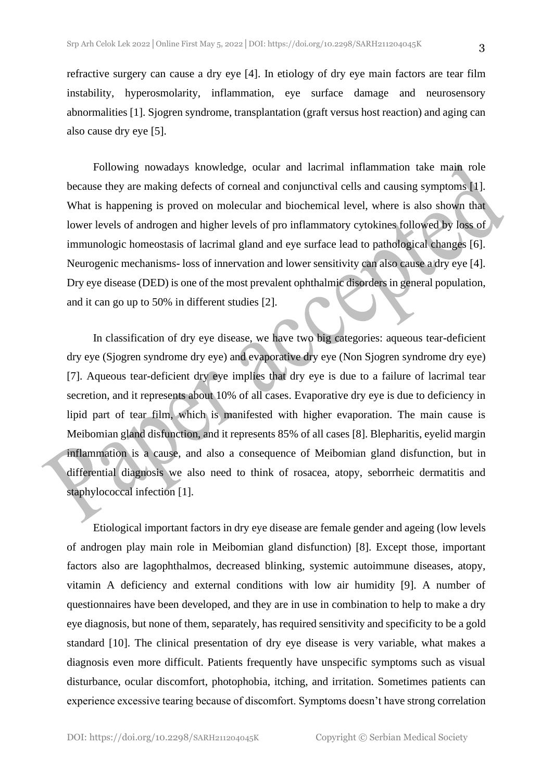refractive surgery can cause a dry eye [4]. In etiology of dry eye main factors are tear film instability, hyperosmolarity, inflammation, eye surface damage and neurosensory abnormalities [1]. Sjogren syndrome, transplantation (graft versus host reaction) and aging can also cause dry eye [5].

Following nowadays knowledge, ocular and lacrimal inflammation take main role because they are making defects of corneal and conjunctival cells and causing symptoms [1]. What is happening is proved on molecular and biochemical level, where is also shown that lower levels of androgen and higher levels of pro inflammatory cytokines followed by loss of immunologic homeostasis of lacrimal gland and eye surface lead to pathological changes [6]. Neurogenic mechanisms- loss of innervation and lower sensitivity can also cause a dry eye [4]. Dry eye disease (DED) is one of the most prevalent ophthalmic disorders in general population, and it can go up to 50% in different studies [2].

In classification of dry eye disease, we have two big categories: aqueous tear-deficient dry eye (Sjogren syndrome dry eye) and evaporative dry eye (Non Sjogren syndrome dry eye) [7]. Aqueous tear-deficient dry eye implies that dry eye is due to a failure of lacrimal tear secretion, and it represents about 10% of all cases. Evaporative dry eye is due to deficiency in lipid part of tear film, which is manifested with higher evaporation. The main cause is Meibomian gland disfunction, and it represents 85% of all cases [8]. Blepharitis, eyelid margin inflammation is a cause, and also a consequence of Meibomian gland disfunction, but in differential diagnosis we also need to think of rosacea, atopy, seborrheic dermatitis and staphylococcal infection [1].

Etiological important factors in dry eye disease are female gender and ageing (low levels of androgen play main role in Meibomian gland disfunction) [8]. Except those, important factors also are lagophthalmos, decreased blinking, systemic autoimmune diseases, atopy, vitamin A deficiency and external conditions with low air humidity [9]. A number of questionnaires have been developed, and they are in use in combination to help to make a dry eye diagnosis, but none of them, separately, has required sensitivity and specificity to be a gold standard [10]. The clinical presentation of dry eye disease is very variable, what makes a diagnosis even more difficult. Patients frequently have unspecific symptoms such as visual disturbance, ocular discomfort, photophobia, itching, and irritation. Sometimes patients can experience excessive tearing because of discomfort. Symptoms doesn't have strong correlation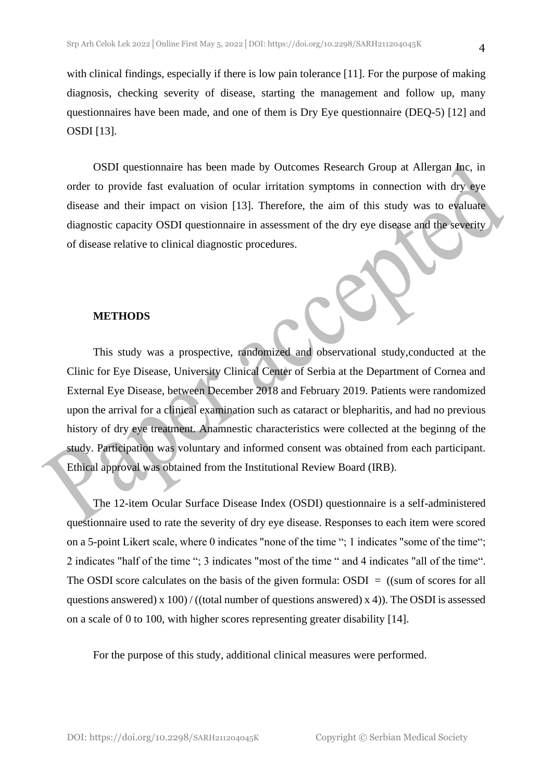with clinical findings, especially if there is low pain tolerance [11]. For the purpose of making diagnosis, checking severity of disease, starting the management and follow up, many questionnaires have been made, and one of them is Dry Eye questionnaire (DEQ-5) [12] and OSDI [13].

OSDI questionnaire has been made by Outcomes Research Group at Allergan Inc, in order to provide fast evaluation of ocular irritation symptoms in connection with dry eye disease and their impact on vision [13]. Therefore, the aim of this study was to evaluate diagnostic capacity OSDI questionnaire in assessment of the dry eye disease and the severity of disease relative to clinical diagnostic procedures.

#### **METHODS**

This study was a prospective, randomized and observational study,conducted at the Clinic for Eye Disease, University Clinical Center of Serbia at the Department of Cornea and External Eye Disease, between December 2018 and February 2019. Patients were randomized upon the arrival for a clinical examination such as cataract or blepharitis, and had no previous history of dry eye treatment. Anamnestic characteristics were collected at the beginng of the study. Participation was voluntary and informed consent was obtained from each participant. Ethical approval was obtained from the Institutional Review Board (IRB).

The 12-item Ocular Surface Disease Index (OSDI) questionnaire is a self-administered questionnaire used to rate the severity of dry eye disease. Responses to each item were scored on a 5-point Likert scale, where 0 indicates "none of the time "; 1 indicates "some of the time"; 2 indicates "half of the time "; 3 indicates "most of the time " and 4 indicates "all of the time". The OSDI score calculates on the basis of the given formula:  $OSDI = ((sum of scores for all$ questions answered) x  $100$  / ((total number of questions answered) x 4)). The OSDI is assessed on a scale of 0 to 100, with higher scores representing greater disability [14].

For the purpose of this study, additional clinical measures were performed.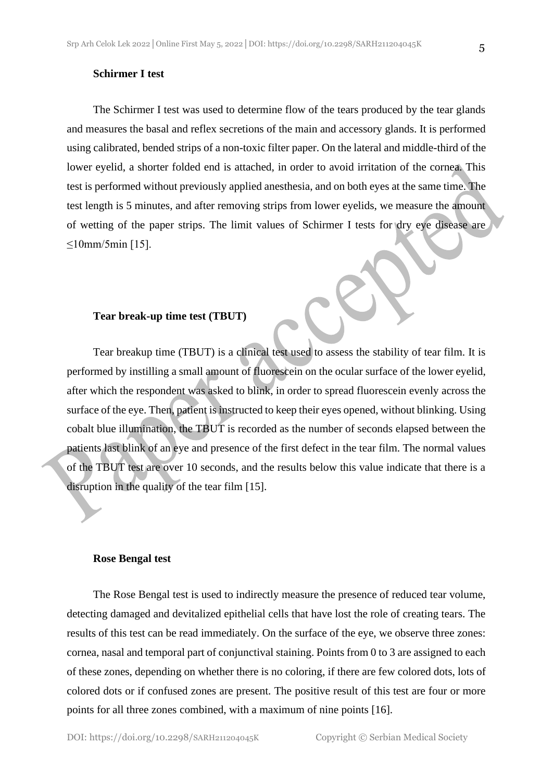#### **Schirmer I test**

The Schirmer I test was used to determine flow of the tears produced by the tear glands and measures the basal and reflex secretions of the main and accessory glands. It is performed using calibrated, bended strips of a non-toxic filter paper. On the lateral and middle-third of the lower eyelid, a shorter folded end is attached, in order to avoid irritation of the cornea. This test is performed without previously applied anesthesia, and on both eyes at the same time. The test length is 5 minutes, and after removing strips from lower eyelids, we measure the amount of wetting of the paper strips. The limit values of Schirmer I tests for dry eye disease are  $≤10mm/5min$  [15].

#### **Tear break-up time test (TBUT)**

Tear breakup time (TBUT) is a clinical test used to assess the stability of tear film. It is performed by instilling a small amount of fluorescein on the ocular surface of the lower eyelid, after which the respondent was asked to blink, in order to spread fluorescein evenly across the surface of the eye. Then, patient is instructed to keep their eyes opened, without blinking. Using cobalt blue illumination, the TBUT is recorded as the number of seconds elapsed between the patients last blink of an eye and presence of the first defect in the tear film. The normal values of the TBUT test are over 10 seconds, and the results below this value indicate that there is a disruption in the quality of the tear film [15].

#### **Rose Bengal test**

The Rose Bengal test is used to indirectly measure the presence of reduced tear volume, detecting damaged and devitalized epithelial cells that have lost the role of creating tears. The results of this test can be read immediately. On the surface of the eye, we observe three zones: cornea, nasal and temporal part of conjunctival staining. Points from 0 to 3 are assigned to each of these zones, depending on whether there is no coloring, if there are few colored dots, lots of colored dots or if confused zones are present. The positive result of this test are four or more points for all three zones combined, with a maximum of nine points [16].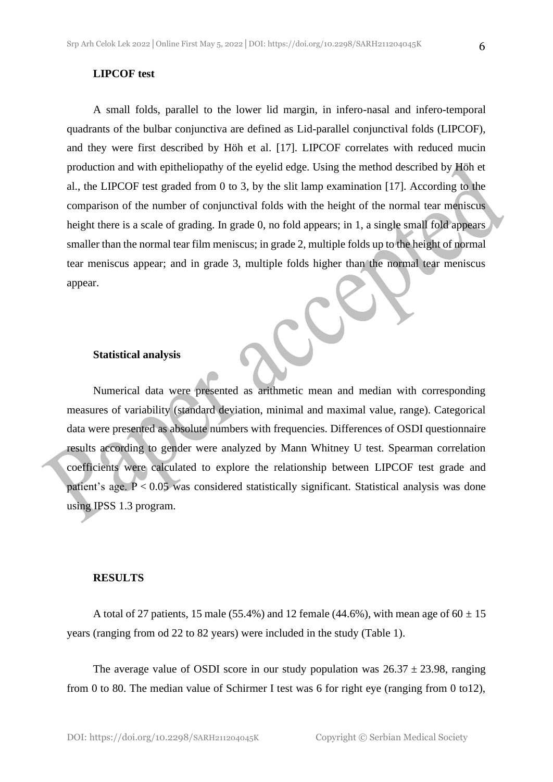#### **LIPCOF test**

A small folds, parallel to the lower lid margin, in infero-nasal and infero-temporal quadrants of the bulbar conjunctiva are defined as Lid-parallel conjunctival folds (LIPCOF), and they were first described by Höh et al. [17]. LIPCOF correlates with reduced mucin production and with epitheliopathy of the eyelid edge. Using the method described by Höh et al., the LIPCOF test graded from 0 to 3, by the slit lamp examination [17]. According to the comparison of the number of conjunctival folds with the height of the normal tear meniscus height there is a scale of grading. In grade 0, no fold appears; in 1, a single small fold appears smaller than the normal tear film meniscus; in grade 2, multiple folds up to the height of normal tear meniscus appear; and in grade 3, multiple folds higher than the normal tear meniscus appear.

#### **Statistical analysis**

Numerical data were presented as arithmetic mean and median with corresponding measures of variability (standard deviation, minimal and maximal value, range). Categorical data were presented as absolute numbers with frequencies. Differences of OSDI questionnaire results according to gender were analyzed by Mann Whitney U test. Spearman correlation coefficients were calculated to explore the relationship between LIPCOF test grade and patient's age. P < 0.05 was considered statistically significant. Statistical analysis was done using IPSS 1.3 program.

#### **RESULTS**

A total of 27 patients, 15 male (55.4%) and 12 female (44.6%), with mean age of  $60 \pm 15$ years (ranging from od 22 to 82 years) were included in the study (Table 1).

The average value of OSDI score in our study population was  $26.37 \pm 23.98$ , ranging from 0 to 80. The median value of Schirmer I test was 6 for right eye (ranging from 0 to12),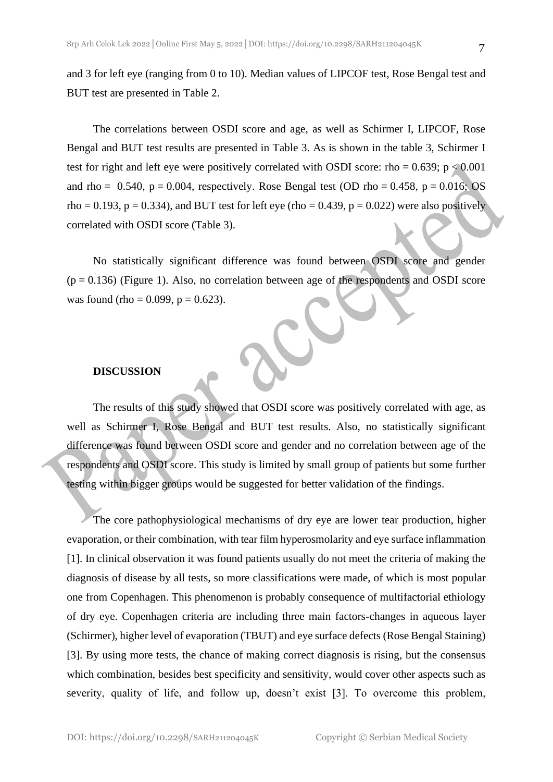and 3 for left eye (ranging from 0 to 10). Median values of LIPCOF test, Rose Bengal test and BUT test are presented in Table 2.

The correlations between OSDI score and age, as well as Schirmer I, LIPCOF, Rose Bengal and BUT test results are presented in Table 3. As is shown in the table 3, Schirmer I test for right and left eye were positively correlated with OSDI score: rho =  $0.639$ ; p < 0.001 and rho =  $0.540$ , p =  $0.004$ , respectively. Rose Bengal test (OD rho =  $0.458$ , p =  $0.016$ ; OS rho = 0.193, p = 0.334), and BUT test for left eye (rho = 0.439, p = 0.022) were also positively correlated with OSDI score (Table 3).

No statistically significant difference was found between OSDI score and gender  $(p = 0.136)$  (Figure 1). Also, no correlation between age of the respondents and OSDI score was found (rho =  $0.099$ , p =  $0.623$ ).

#### **DISCUSSION**

The results of this study showed that OSDI score was positively correlated with age, as well as Schirmer I, Rose Bengal and BUT test results. Also, no statistically significant difference was found between OSDI score and gender and no correlation between age of the respondents and OSDI score. This study is limited by small group of patients but some further testing within bigger groups would be suggested for better validation of the findings.

The core pathophysiological mechanisms of dry eye are lower tear production, higher evaporation, or their combination, with tear film hyperosmolarity and eye surface inflammation [1]. In clinical observation it was found patients usually do not meet the criteria of making the diagnosis of disease by all tests, so more classifications were made, of which is most popular one from Copenhagen. This phenomenon is probably consequence of multifactorial ethiology of dry eye. Copenhagen criteria are including three main factors-changes in aqueous layer (Schirmer), higher level of evaporation (TBUT) and eye surface defects (Rose Bengal Staining) [3]. By using more tests, the chance of making correct diagnosis is rising, but the consensus which combination, besides best specificity and sensitivity, would cover other aspects such as severity, quality of life, and follow up, doesn't exist [3]. To overcome this problem,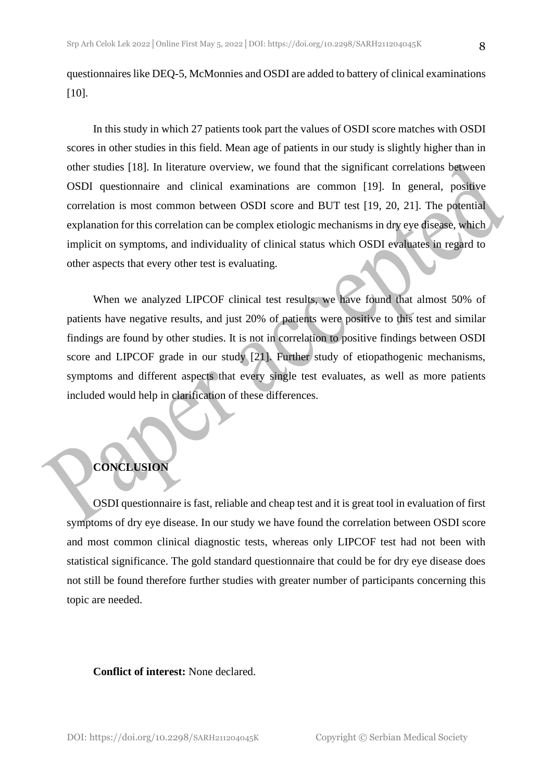questionnaires like DEQ-5, McMonnies and OSDI are added to battery of clinical examinations [10].

In this study in which 27 patients took part the values of OSDI score matches with OSDI scores in other studies in this field. Mean age of patients in our study is slightly higher than in other studies [18]. In literature overview, we found that the significant correlations between OSDI questionnaire and clinical examinations are common [19]. In general, positive correlation is most common between OSDI score and BUT test [19, 20, 21]. The potential explanation for this correlation can be complex etiologic mechanisms in dry eye disease, which implicit on symptoms, and individuality of clinical status which OSDI evaluates in regard to other aspects that every other test is evaluating.

When we analyzed LIPCOF clinical test results, we have found that almost 50% of patients have negative results, and just 20% of patients were positive to this test and similar findings are found by other studies. It is not in correlation to positive findings between OSDI score and LIPCOF grade in our study [21]. Further study of etiopathogenic mechanisms, symptoms and different aspects that every single test evaluates, as well as more patients included would help in clarification of these differences.

### **CONCLUSION**

OSDI questionnaire is fast, reliable and cheap test and it is great tool in evaluation of first symptoms of dry eye disease. In our study we have found the correlation between OSDI score and most common clinical diagnostic tests, whereas only LIPCOF test had not been with statistical significance. The gold standard questionnaire that could be for dry eye disease does not still be found therefore further studies with greater number of participants concerning this topic are needed.

**Conflict of interest:** None declared.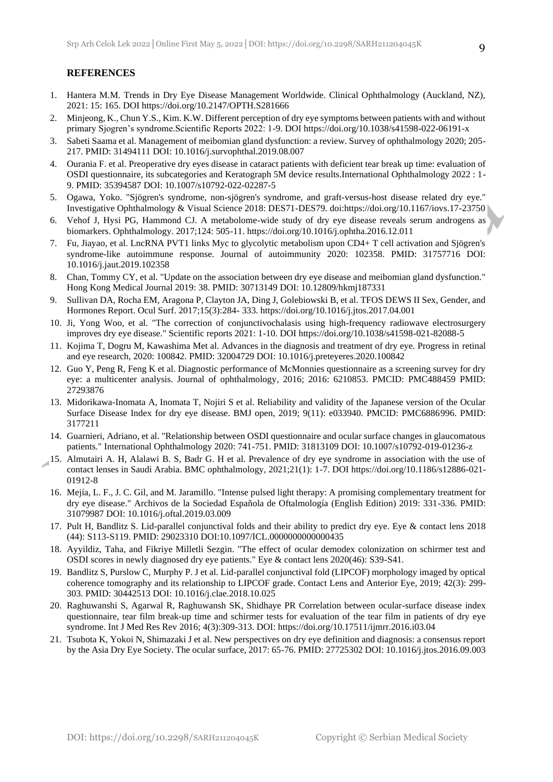#### **REFERENCES**

- 1. Hantera M.M. Trends in Dry Eye Disease Management Worldwide. Clinical Ophthalmology (Auckland, NZ), 2021: 15: 165. DOI https://doi.org/10.2147/OPTH.S281666
- 2. Minjeong, K., Chun Y.S., Kim. K.W. Different perception of dry eye symptoms between patients with and without primary Sjogren's syndrome.Scientific Reports 2022: 1-9. DOI https://doi.org/10.1038/s41598-022-06191-x
- 3. Sabeti Saama et al. Management of meibomian gland dysfunction: a review. Survey of ophthalmology 2020; 205- 217. PMID: 31494111 DOI: 10.1016/j.survophthal.2019.08.007
- 4. Ourania F. et al. Preoperative dry eyes disease in cataract patients with deficient tear break up time: evaluation of OSDI questionnaire, its subcategories and Keratograph 5M device results.International Ophthalmology 2022 : 1- 9. PMID: 35394587 DOI: 10.1007/s10792-022-02287-5
- 5. Ogawa, Yoko. "Sjögren's syndrome, non-sjögren's syndrome, and graft-versus-host disease related dry eye." Investigative Ophthalmology & Visual Science 2018: DES71-DES79. doi:https://doi.org/10.1167/iovs.17-23750
- 6. Vehof J, Hysi PG, Hammond CJ. A metabolome-wide study of dry eye disease reveals serum androgens as biomarkers. Ophthalmology. 2017;124: 505-11. https://doi.org/10.1016/j.ophtha.2016.12.011
- 7. Fu, Jiayao, et al. LncRNA PVT1 links Myc to glycolytic metabolism upon CD4+ T cell activation and Sjögren's syndrome-like autoimmune response. Journal of autoimmunity 2020: 102358. PMID: 31757716 DOI: 10.1016/j.jaut.2019.102358
- 8. Chan, Tommy CY, et al. "Update on the association between dry eye disease and meibomian gland dysfunction." Hong Kong Medical Journal 2019: 38. PMID: 30713149 DOI: 10.12809/hkmj187331
- 9. Sullivan DA, Rocha EM, Aragona P, Clayton JA, Ding J, Golebiowski B, et al. TFOS DEWS II Sex, Gender, and Hormones Report. Ocul Surf. 2017;15(3):284- 333. https://doi.org/10.1016/j.jtos.2017.04.001
- 10. Ji, Yong Woo, et al. "The correction of conjunctivochalasis using high-frequency radiowave electrosurgery improves dry eye disease." Scientific reports 2021: 1-10. DOI https://doi.org/10.1038/s41598-021-82088-5
- 11. Kojima T, Dogru M, Kawashima Met al. Advances in the diagnosis and treatment of dry eye. Progress in retinal and eye research, 2020: 100842. PMID: 32004729 DOI: 10.1016/j.preteyeres.2020.100842
- 12. Guo Y, Peng R, Feng K et al. Diagnostic performance of McMonnies questionnaire as a screening survey for dry eye: a multicenter analysis. Journal of ophthalmology, 2016; 2016: 6210853. PMCID: PMC488459 PMID: 27293876
- 13. Midorikawa-Inomata A, Inomata T, Nojiri S et al. Reliability and validity of the Japanese version of the Ocular Surface Disease Index for dry eye disease. BMJ open, 2019; 9(11): e033940. PMCID: PMC6886996. PMID: 3177211
- 14. Guarnieri, Adriano, et al. "Relationship between OSDI questionnaire and ocular surface changes in glaucomatous patients." International Ophthalmology 2020: 741-751. PMID: 31813109 DOI: 10.1007/s10792-019-01236-z
- 15. Almutairi A. H, Alalawi B. S, Badr G. H et al. Prevalence of dry eye syndrome in association with the use of contact lenses in Saudi Arabia. BMC ophthalmology, 2021;21(1): 1-7. DOI https://doi.org/10.1186/s12886-021- 01912-8
- 16. Mejía, L. F., J. C. Gil, and M. Jaramillo. "Intense pulsed light therapy: A promising complementary treatment for dry eye disease." Archivos de la Sociedad Española de Oftalmología (English Edition) 2019: 331-336. PMID: 31079987 DOI: 10.1016/j.oftal.2019.03.009
- 17. Pult H, Bandlitz S. Lid-parallel conjunctival folds and their ability to predict dry eye. Eye & contact lens 2018 (44): S113-S119. PMID: 29023310 DOI:10.1097/ICL.0000000000000435
- 18. Ayyildiz, Taha, and Fikriye Milletli Sezgin. "The effect of ocular demodex colonization on schirmer test and OSDI scores in newly diagnosed dry eye patients." Eye & contact lens 2020(46): S39-S41.
- 19. Bandlitz S, Purslow C, Murphy P. J et al. Lid-parallel conjunctival fold (LIPCOF) morphology imaged by optical coherence tomography and its relationship to LIPCOF grade. Contact Lens and Anterior Eye, 2019; 42(3): 299- 303. PMID: 30442513 DOI: 10.1016/j.clae.2018.10.025
- 20. Raghuwanshi S, Agarwal R, Raghuwansh SK, Shidhaye PR Correlation between ocular-surface disease index questionnaire, tear film break-up time and schirmer tests for evaluation of the tear film in patients of dry eye syndrome. Int J Med Res Rev 2016; 4(3):309-313. DOI: https://doi.org/10.17511/ijmrr.2016.i03.04
- 21. Tsubota K, Yokoi N, Shimazaki J et al. New perspectives on dry eye definition and diagnosis: a consensus report by the Asia Dry Eye Society. The ocular surface, 2017: 65-76. PMID: 27725302 DOI: 10.1016/j.jtos.2016.09.003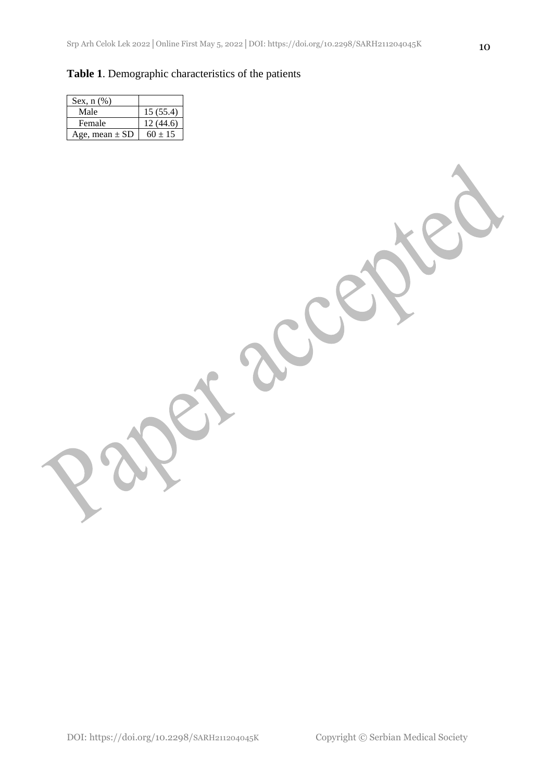## **Table 1**. Demographic characteristics of the patients

| Sex, $n$ $(\%)$    |             |
|--------------------|-------------|
| Male               | 15(55.4)    |
| Female             | 12(44.6)    |
| Age, mean $\pm$ SD | $60 \pm 15$ |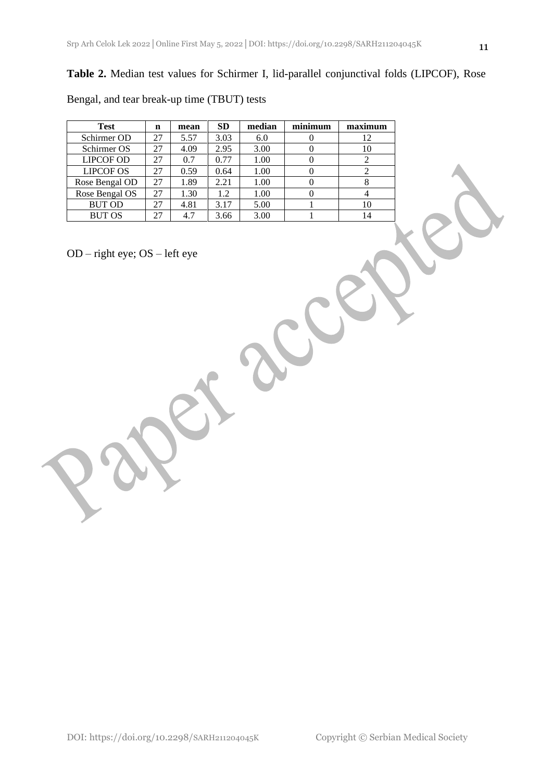## **Table 2.** Median test values for Schirmer I, lid-parallel conjunctival folds (LIPCOF), Rose

Bengal, and tear break-up time (TBUT) tests

| Test             | n  | mean | <b>SD</b> | median | minimum | maximum |
|------------------|----|------|-----------|--------|---------|---------|
| Schirmer OD      | 27 | 5.57 | 3.03      | 6.0    |         | 12      |
| Schirmer OS      | 27 | 4.09 | 2.95      | 3.00   |         | 10      |
| <b>LIPCOF OD</b> | 27 | 0.7  | 0.77      | 1.00   |         |         |
| <b>LIPCOF OS</b> | 27 | 0.59 | 0.64      | 1.00   |         |         |
| Rose Bengal OD   | 27 | 1.89 | 2.21      | 1.00   |         |         |
| Rose Bengal OS   | 27 | 1.30 | 1.2       | 1.00   |         |         |
| <b>BUT OD</b>    | 27 | 4.81 | 3.17      | 5.00   |         | 10      |
| <b>BUT OS</b>    | 27 | 4.7  | 3.66      | 3.00   |         |         |

OD – right eye; OS – left eye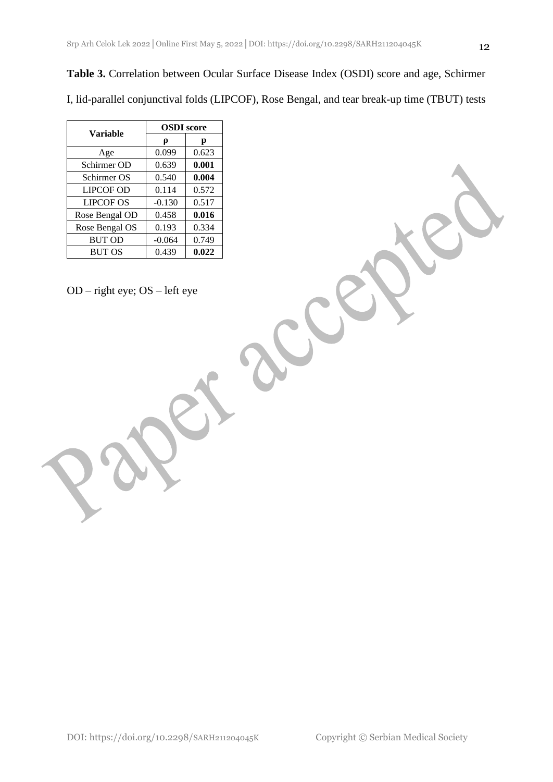**Table 3.** Correlation between Ocular Surface Disease Index (OSDI) score and age, Schirmer I, lid-parallel conjunctival folds (LIPCOF), Rose Bengal, and tear break-up time (TBUT) tests

| Variable         | <b>OSDI</b> score |       |  |  |
|------------------|-------------------|-------|--|--|
|                  | p                 | р     |  |  |
| Age              | 0.099             | 0.623 |  |  |
| Schirmer OD      | 0.639             | 0.001 |  |  |
| Schirmer OS      | 0.540             | 0.004 |  |  |
| <b>LIPCOF OD</b> | 0.114             | 0.572 |  |  |
| <b>LIPCOF OS</b> | $-0.130$          | 0.517 |  |  |
| Rose Bengal OD   | 0.458             | 0.016 |  |  |
| Rose Bengal OS   | 0.193             | 0.334 |  |  |
| <b>BUT OD</b>    | $-0.064$          | 0.749 |  |  |
| <b>BUT OS</b>    | 0.439             | 0.022 |  |  |

OD – right eye; OS – left eye